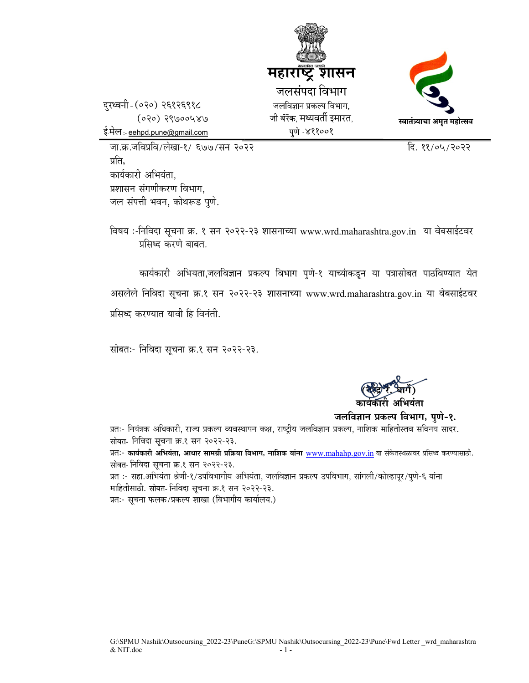

दरध्वनी (०२०) २६१२६९१८  $(020) 29000480$ ई.मेल :- eehpd.pune@gmail.com

जा.क्र.जविप्रवि/लेखा-१/ ६७७/सन २०२२ क्रिकेट के सामने करने के बाद ११/०५/२०२२ प्रति. कार्यकारी अभियंता. प्रशासन संगणीकरण विभाग. जल संपत्ती भवन, कोथरूड पुणे.

विषय :-निविदा सूचना क्र. १ सन २०२२-२३ शासनाच्या www.wrd.maharashtra.gov.in या वेबसाईटवर प्रसिध्द करणे बाबत.

कार्यकारी अभियता,जलविज्ञान प्रकल्प विभाग पुणे-१ याच्यांकडून या पत्रासोबत पाठविण्यात येत असलेले निविदा सूचना क्र.१ सन २०२२-२३ शासनाच्या www.wrd.maharashtra.gov.in या वेबसाईटवर प्रसिध्द करण्यात यावी हि विनंती.

सोबतः- निविदा सूचना क्र.१ सन २०२२-२३.

 $\left(\frac{1}{2}\right)^{n-1}$  $\left(\frac{1}{2}\right)^{n-1}$  $\left(\frac{1}{2}\right)^{n-1}$ कार्यकारी अभियंता

जलविज्ञान प्रकल्प विभाग, पुणे-१.

प्रतः- नियंत्रक अधिकारी, राज्य प्रकल्प व्यवस्थापन कक्ष, राष्ट्रीय जलविज्ञान प्रकल्प, नाशिक माहितीस्तव सविनय सादर. सोबत- निविदा सूचना क्र.१ सन २०२२-२३.

प्रतः- कार्यकारी अभियंता, आधार सामग्री प्रक्रिया विभाग, नाशिक यांना www.mahahp.gov.in या संकेतस्थळावर प्रसिध्द करण्यासाठी. सोबत- निविदा सूचना क्र.१ सन २०२२-२३.

प्रत :- सहा.अभियंता श्रेणी-१/उपविभागीय अभियंता, जलविज्ञान प्रकल्प उपविभाग, सांगली/कोल्हापुर/पुणे-६ यांना माहितीसाठी. सोबत- निविदा सूचना क्र.१ सन २०२२-२३.

प्रतः- सूचना फलक/प्रकल्प शाखा (विभागीय कार्यालय.)